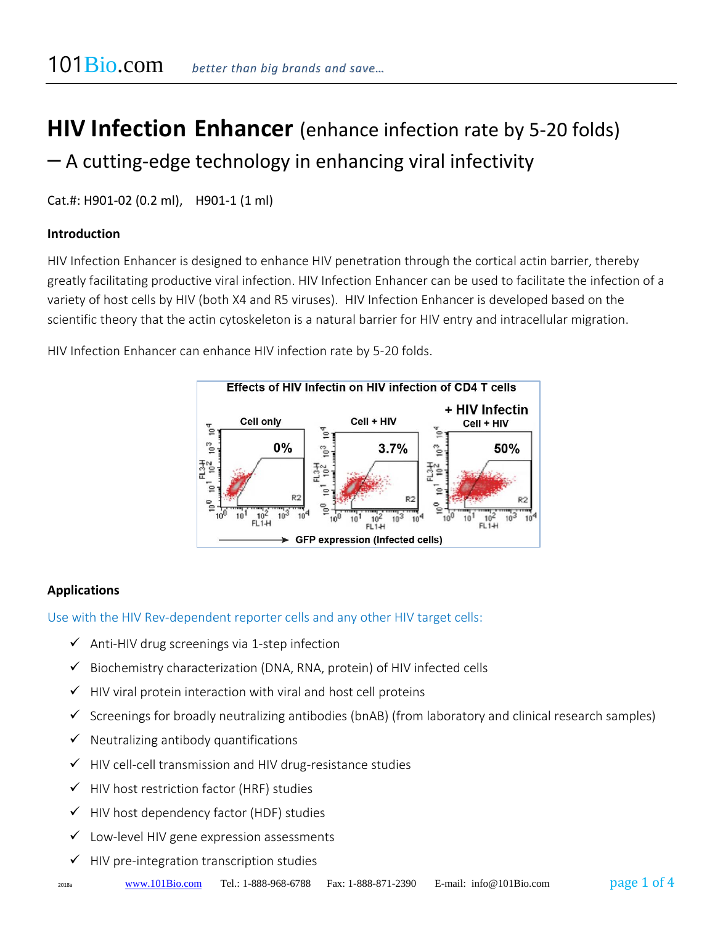# **HIV Infection Enhancer** (enhance infection rate by 5-20 folds)  $-$  A cutting-edge technology in enhancing viral infectivity

Cat.#: H901-02 (0.2 ml), H901-1 (1 ml)

#### **Introduction**

HIV Infection Enhancer is designed to enhance HIV penetration through the cortical actin barrier, thereby greatly facilitating productive viral infection. HIV Infection Enhancer can be used to facilitate the infection of a variety of host cells by HIV (both X4 and R5 viruses). HIV Infection Enhancer is developed based on the scientific theory that the actin cytoskeleton is a natural barrier for HIV entry and intracellular migration.

HIV Infection Enhancer can enhance HIV infection rate by 5-20 folds.



#### **Applications**

#### Use with the HIV Rev-dependent reporter cells and any other HIV target cells:

- $\checkmark$  Anti-HIV drug screenings via 1-step infection
- ✓ Biochemistry characterization (DNA, RNA, protein) of HIV infected cells
- $\checkmark$  HIV viral protein interaction with viral and host cell proteins
- $\checkmark$  Screenings for broadly neutralizing antibodies (bnAB) (from laboratory and clinical research samples)
- $\checkmark$  Neutralizing antibody quantifications
- ✓ HIV cell-cell transmission and HIV drug-resistance studies
- ✓ HIV host restriction factor (HRF) studies
- ✓ HIV host dependency factor (HDF) studies
- $\checkmark$  Low-level HIV gene expression assessments
- ✓ HIV pre-integration transcription studies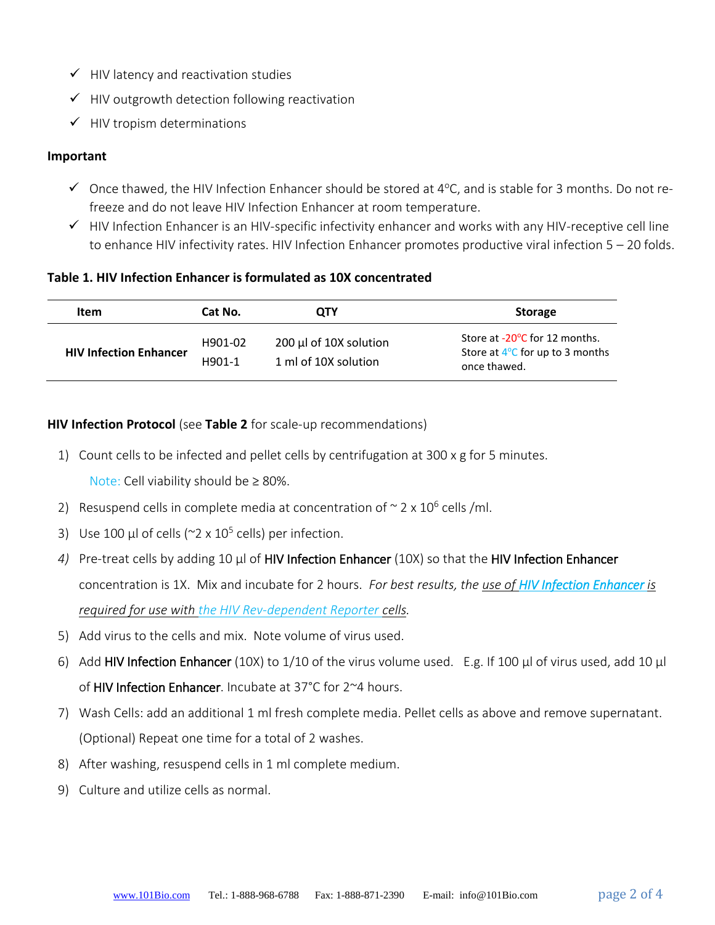- $\checkmark$  HIV latency and reactivation studies
- $\checkmark$  HIV outgrowth detection following reactivation
- $\checkmark$  HIV tropism determinations

#### **Important**

- $\checkmark$  Once thawed, the HIV Infection Enhancer should be stored at 4°C, and is stable for 3 months. Do not refreeze and do not leave HIV Infection Enhancer at room temperature.
- ✓ HIV Infection Enhancer is an HIV-specific infectivity enhancer and works with any HIV-receptive cell line to enhance HIV infectivity rates. HIV Infection Enhancer promotes productive viral infection 5 – 20 folds.

#### **Table 1. HIV Infection Enhancer is formulated as 10X concentrated**

| <b>Item</b>                   | Cat No.           | OTY                                               | <b>Storage</b>                                                                             |
|-------------------------------|-------------------|---------------------------------------------------|--------------------------------------------------------------------------------------------|
| <b>HIV Infection Enhancer</b> | H901-02<br>H901-1 | $200 \mu$ of 10X solution<br>1 ml of 10X solution | Store at -20°C for 12 months.<br>Store at $4^{\circ}$ C for up to 3 months<br>once thawed. |

#### **HIV Infection Protocol** (see **Table 2** for scale-up recommendations)

1) Count cells to be infected and pellet cells by centrifugation at 300 x g for 5 minutes.

Note: Cell viability should be  $\geq 80\%$ .

- 2) Resuspend cells in complete media at concentration of  $\sim$  2 x 10<sup>6</sup> cells /ml.
- 3) Use 100  $\mu$ l of cells (~2 x 10<sup>5</sup> cells) per infection.
- *4)* Pre-treat cells by adding 10 μl of HIV Infection Enhancer (10X) so that the HIV Infection Enhancer concentration is 1X. Mix and incubate for 2 hours. *For best results, the use of HIV Infection Enhancer is required for use with the HIV Rev-dependent Reporter cells.*
- 5) Add virus to the cells and mix. Note volume of virus used.
- 6) Add HIV Infection Enhancer (10X) to 1/10 of the virus volume used. E.g. If 100 μl of virus used, add 10 μl of HIV Infection Enhancer. Incubate at 37°C for 2~4 hours.
- 7) Wash Cells: add an additional 1 ml fresh complete media. Pellet cells as above and remove supernatant. (Optional) Repeat one time for a total of 2 washes.
- 8) After washing, resuspend cells in 1 ml complete medium.
- 9) Culture and utilize cells as normal.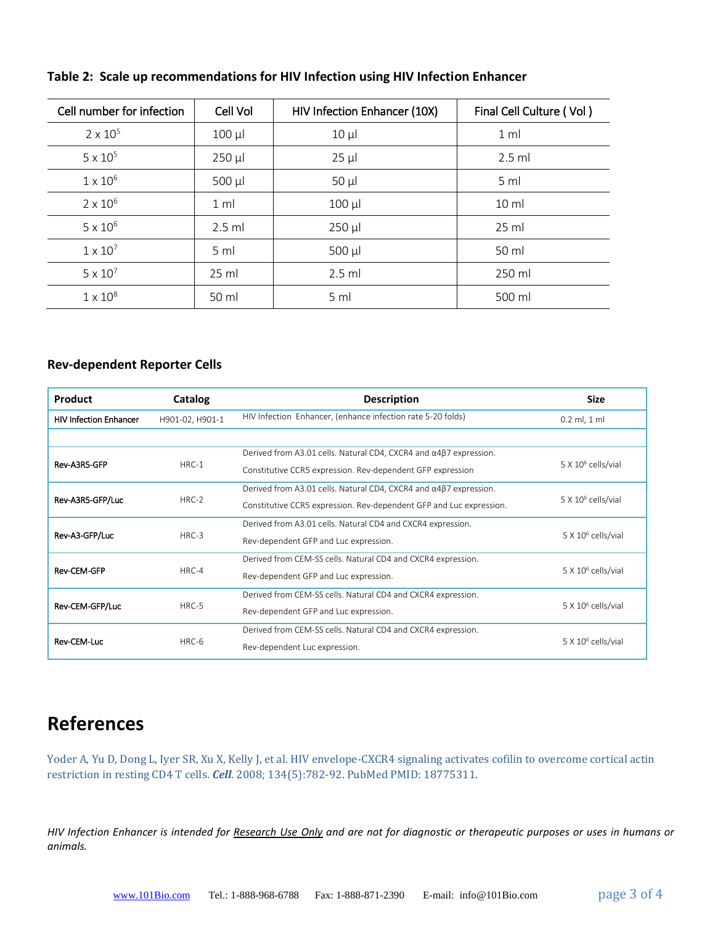| Cell number for infection | Cell Vol        | HIV Infection Enhancer (10X) | Final Cell Culture (Vol) |
|---------------------------|-----------------|------------------------------|--------------------------|
| $2 \times 10^{5}$         | $100 \mu$       | $10 \mu$                     | 1 <sub>m</sub>           |
| $5 \times 10^5$           | $250$ $\mu$     | $25 \mu$                     | $2.5$ ml                 |
| $1 \times 10^6$           | $500 \mu l$     | $50 \mu$                     | 5 <sub>m</sub>           |
| $2 \times 10^6$           | 1 <sub>m</sub>  | $100 \mu l$                  | 10 <sub>m</sub>          |
| $5 \times 10^6$           | $2.5$ ml        | $250$ µl                     | $25 \mathrm{ml}$         |
| $1 \times 10^7$           | 5 <sub>m</sub>  | $500 \mu l$                  | 50 ml                    |
| $5 \times 10^7$           | $25 \text{ ml}$ | $2.5$ ml                     | 250 ml                   |
| $1 \times 10^8$           | 50 ml           | 5 <sub>m</sub>               | 500 ml                   |

#### **Table 2: Scale up recommendations for HIV Infection using HIV Infection Enhancer**

#### **Rev-dependent Reporter Cells**

| <b>Product</b>                | Catalog         | <b>Description</b>                                                                | <b>Size</b>                    |  |
|-------------------------------|-----------------|-----------------------------------------------------------------------------------|--------------------------------|--|
| <b>HIV Infection Enhancer</b> | H901-02, H901-1 | HIV Infection Enhancer, (enhance infection rate 5-20 folds)                       | $0.2$ ml, $1$ ml               |  |
|                               |                 |                                                                                   |                                |  |
|                               |                 | Derived from A3.01 cells. Natural CD4, CXCR4 and $\alpha$ 4 $\beta$ 7 expression. |                                |  |
| Rev-A3R5-GFP                  | $HRC-1$         | Constitutive CCR5 expression. Rev-dependent GFP expression                        | $5 \times 10^6$ cells/vial     |  |
|                               |                 | Derived from A3.01 cells. Natural CD4, CXCR4 and $\alpha$ 4 $\beta$ 7 expression. |                                |  |
| Rev-A3R5-GFP/Luc              | $HRC-2$         | Constitutive CCR5 expression. Rev-dependent GFP and Luc expression.               | 5 X 10 <sup>6</sup> cells/vial |  |
|                               |                 | Derived from A3.01 cells. Natural CD4 and CXCR4 expression.                       |                                |  |
| Rev-A3-GFP/Luc                | $HRC-3$         | Rev-dependent GFP and Luc expression.                                             | 5 X 10 <sup>6</sup> cells/vial |  |
|                               |                 | Derived from CEM-SS cells. Natural CD4 and CXCR4 expression.                      |                                |  |
| <b>Rev-CEM-GFP</b>            | $HRC-4$         | Rev-dependent GFP and Luc expression.                                             | 5 X 10 <sup>6</sup> cells/vial |  |
|                               |                 | Derived from CEM-SS cells. Natural CD4 and CXCR4 expression.                      |                                |  |
| Rev-CEM-GFP/Luc               | $HRC-5$         | Rev-dependent GFP and Luc expression.                                             | 5 X 10 <sup>6</sup> cells/vial |  |
|                               |                 | Derived from CEM-SS cells. Natural CD4 and CXCR4 expression.                      |                                |  |
| Rev-CEM-Luc                   | HRC-6           | Rev-dependent Luc expression.                                                     | 5 X 10 <sup>6</sup> cells/vial |  |

## **References**

Yoder A, Yu D, Dong L, Iyer SR, Xu X, Kelly J, et al. HIV envelope-CXCR4 signaling activates cofilin to overcome cortical actin restriction in resting CD4 T cells. *Cell*. 2008; 134(5):782-92. PubMed PMID: 18775311.

*HIV Infection Enhancer is intended for Research Use Only and are not for diagnostic or therapeutic purposes or uses in humans or animals.*